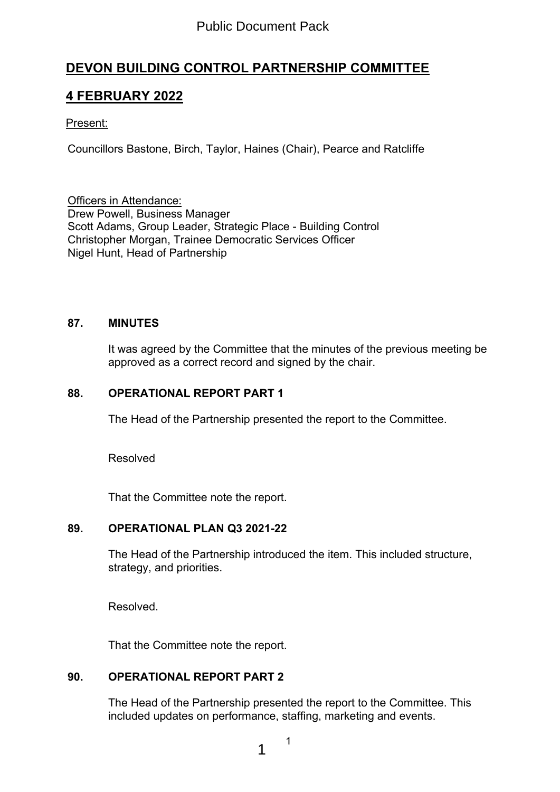# Public Document Pack

# **DEVON BUILDING CONTROL PARTNERSHIP COMMITTEE**

# **4 FEBRUARY 2022**

### Present:

Councillors Bastone, Birch, Taylor, Haines (Chair), Pearce and Ratcliffe

Officers in Attendance: Drew Powell, Business Manager Scott Adams, Group Leader, Strategic Place - Building Control Christopher Morgan, Trainee Democratic Services Officer Nigel Hunt, Head of Partnership

#### **87. MINUTES**

It was agreed by the Committee that the minutes of the previous meeting be approved as a correct record and signed by the chair.

#### **88. OPERATIONAL REPORT PART 1**

The Head of the Partnership presented the report to the Committee.

Resolved

That the Committee note the report.

#### **89. OPERATIONAL PLAN Q3 2021-22**

The Head of the Partnership introduced the item. This included structure, strategy, and priorities.

Resolved.

That the Committee note the report.

### **90. OPERATIONAL REPORT PART 2**

The Head of the Partnership presented the report to the Committee. This included updates on performance, staffing, marketing and events.

1

1